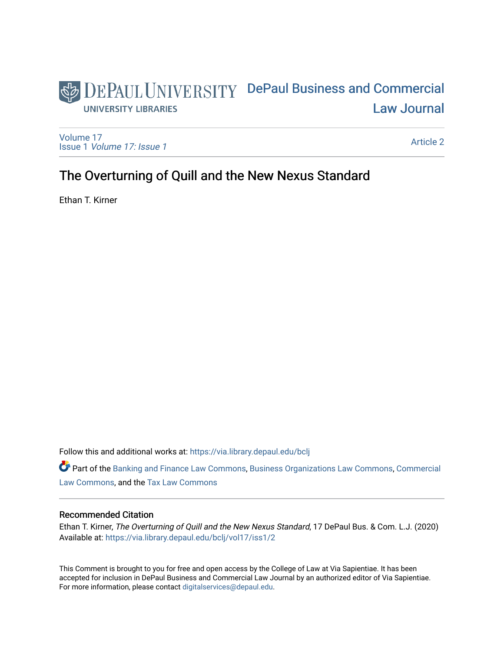# DEPAUL UNIVERSITY DePaul Business and Commercial [Law Journal](https://via.library.depaul.edu/bclj)  **UNIVERSITY LIBRARIES**

[Volume 17](https://via.library.depaul.edu/bclj/vol17) Issue 1 [Volume 17: Issue 1](https://via.library.depaul.edu/bclj/vol17/iss1) 

[Article 2](https://via.library.depaul.edu/bclj/vol17/iss1/2) 

# The Overturning of Quill and the New Nexus Standard

Ethan T. Kirner

Follow this and additional works at: [https://via.library.depaul.edu/bclj](https://via.library.depaul.edu/bclj?utm_source=via.library.depaul.edu%2Fbclj%2Fvol17%2Fiss1%2F2&utm_medium=PDF&utm_campaign=PDFCoverPages) 

Part of the [Banking and Finance Law Commons,](http://network.bepress.com/hgg/discipline/833?utm_source=via.library.depaul.edu%2Fbclj%2Fvol17%2Fiss1%2F2&utm_medium=PDF&utm_campaign=PDFCoverPages) [Business Organizations Law Commons](http://network.bepress.com/hgg/discipline/900?utm_source=via.library.depaul.edu%2Fbclj%2Fvol17%2Fiss1%2F2&utm_medium=PDF&utm_campaign=PDFCoverPages), [Commercial](http://network.bepress.com/hgg/discipline/586?utm_source=via.library.depaul.edu%2Fbclj%2Fvol17%2Fiss1%2F2&utm_medium=PDF&utm_campaign=PDFCoverPages)  [Law Commons,](http://network.bepress.com/hgg/discipline/586?utm_source=via.library.depaul.edu%2Fbclj%2Fvol17%2Fiss1%2F2&utm_medium=PDF&utm_campaign=PDFCoverPages) and the [Tax Law Commons](http://network.bepress.com/hgg/discipline/898?utm_source=via.library.depaul.edu%2Fbclj%2Fvol17%2Fiss1%2F2&utm_medium=PDF&utm_campaign=PDFCoverPages)

# Recommended Citation

Ethan T. Kirner, The Overturning of Quill and the New Nexus Standard, 17 DePaul Bus. & Com. L.J. (2020) Available at: [https://via.library.depaul.edu/bclj/vol17/iss1/2](https://via.library.depaul.edu/bclj/vol17/iss1/2?utm_source=via.library.depaul.edu%2Fbclj%2Fvol17%2Fiss1%2F2&utm_medium=PDF&utm_campaign=PDFCoverPages) 

This Comment is brought to you for free and open access by the College of Law at Via Sapientiae. It has been accepted for inclusion in DePaul Business and Commercial Law Journal by an authorized editor of Via Sapientiae. For more information, please contact [digitalservices@depaul.edu.](mailto:digitalservices@depaul.edu)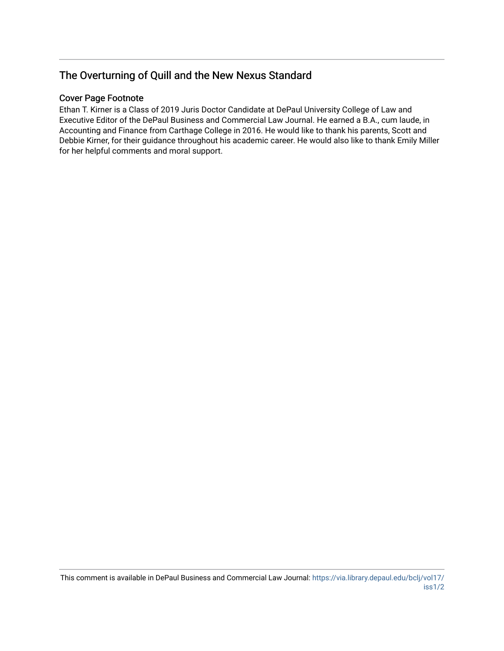# The Overturning of Quill and the New Nexus Standard

# Cover Page Footnote

Ethan T. Kirner is a Class of 2019 Juris Doctor Candidate at DePaul University College of Law and Executive Editor of the DePaul Business and Commercial Law Journal. He earned a B.A., cum laude, in Accounting and Finance from Carthage College in 2016. He would like to thank his parents, Scott and Debbie Kirner, for their guidance throughout his academic career. He would also like to thank Emily Miller for her helpful comments and moral support.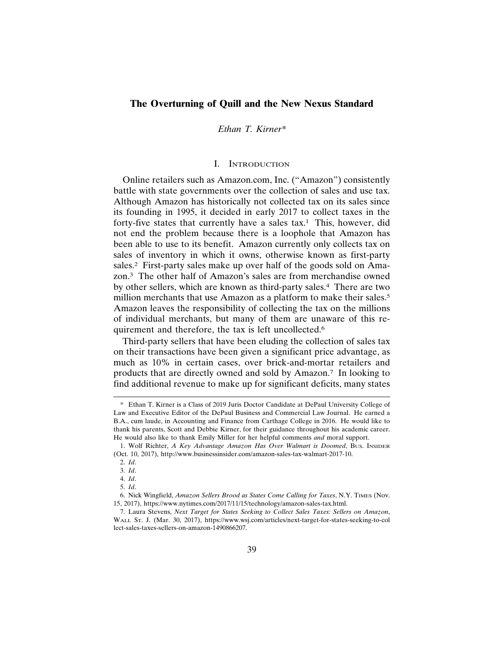# **The Overturning of Quill and the New Nexus Standard**

#### *Ethan T. Kirner\**

#### I. INTRODUCTION

Online retailers such as Amazon.com, Inc. ("Amazon") consistently battle with state governments over the collection of sales and use tax. Although Amazon has historically not collected tax on its sales since its founding in 1995, it decided in early 2017 to collect taxes in the forty-five states that currently have a sales  $tax<sup>1</sup>$ . This, however, did not end the problem because there is a loophole that Amazon has been able to use to its benefit. Amazon currently only collects tax on sales of inventory in which it owns, otherwise known as first-party sales.2 First-party sales make up over half of the goods sold on Amazon.3 The other half of Amazon's sales are from merchandise owned by other sellers, which are known as third-party sales.4 There are two million merchants that use Amazon as a platform to make their sales.<sup>5</sup> Amazon leaves the responsibility of collecting the tax on the millions of individual merchants, but many of them are unaware of this requirement and therefore, the tax is left uncollected.<sup>6</sup>

Third-party sellers that have been eluding the collection of sales tax on their transactions have been given a significant price advantage, as much as 10% in certain cases, over brick-and-mortar retailers and products that are directly owned and sold by Amazon.7 In looking to find additional revenue to make up for significant deficits, many states

<sup>\*</sup> Ethan T. Kirner is a Class of 2019 Juris Doctor Candidate at DePaul University College of Law and Executive Editor of the DePaul Business and Commercial Law Journal. He earned a B.A., cum laude, in Accounting and Finance from Carthage College in 2016. He would like to thank his parents, Scott and Debbie Kirner, for their guidance throughout his academic career. He would also like to thank Emily Miller for her helpful comments *and* moral support.

<sup>1.</sup> Wolf Richter, *A Key Advantage Amazon Has Over Walmart is Doomed*, BUS. INSIDER (Oct. 10, 2017), http://www.businessinsider.com/amazon-sales-tax-walmart-2017-10.

<sup>2.</sup> *Id*.

<sup>3.</sup> *Id*.

<sup>4.</sup> *Id*.

<sup>5.</sup> *Id*.

<sup>6.</sup> Nick Wingfield, *Amazon Sellers Brood as States Come Calling for Taxes*, N.Y. TIMES (Nov. 15, 2017), https://www.nytimes.com/2017/11/15/technology/amazon-sales-tax.html.

<sup>7.</sup> Laura Stevens, *Next Target for States Seeking to Collect Sales Taxes: Sellers on Amazon*, WALL ST. J. (Mar. 30, 2017), https://www.wsj.com/articles/next-target-for-states-seeking-to-col lect-sales-taxes-sellers-on-amazon-1490866207.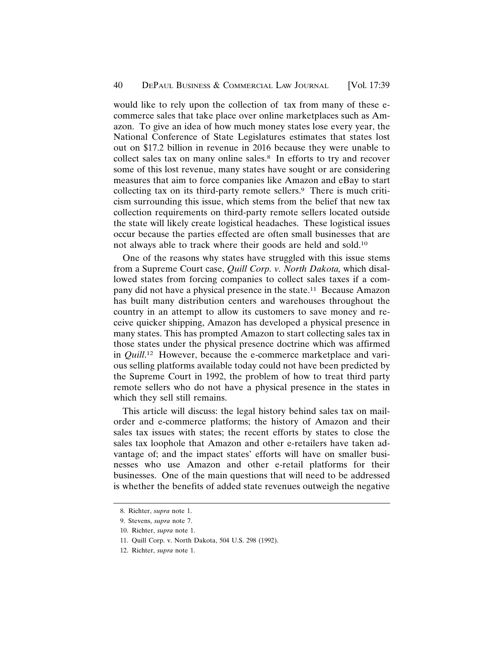would like to rely upon the collection of tax from many of these ecommerce sales that take place over online marketplaces such as Amazon. To give an idea of how much money states lose every year, the National Conference of State Legislatures estimates that states lost out on \$17.2 billion in revenue in 2016 because they were unable to collect sales tax on many online sales.<sup>8</sup> In efforts to try and recover some of this lost revenue, many states have sought or are considering measures that aim to force companies like Amazon and eBay to start collecting tax on its third-party remote sellers.<sup>9</sup> There is much criticism surrounding this issue, which stems from the belief that new tax collection requirements on third-party remote sellers located outside the state will likely create logistical headaches. These logistical issues occur because the parties effected are often small businesses that are not always able to track where their goods are held and sold.10

One of the reasons why states have struggled with this issue stems from a Supreme Court case, *Quill Corp. v. North Dakota,* which disallowed states from forcing companies to collect sales taxes if a company did not have a physical presence in the state.11 Because Amazon has built many distribution centers and warehouses throughout the country in an attempt to allow its customers to save money and receive quicker shipping, Amazon has developed a physical presence in many states. This has prompted Amazon to start collecting sales tax in those states under the physical presence doctrine which was affirmed in *Quill*. 12 However, because the e-commerce marketplace and various selling platforms available today could not have been predicted by the Supreme Court in 1992, the problem of how to treat third party remote sellers who do not have a physical presence in the states in which they sell still remains.

This article will discuss: the legal history behind sales tax on mailorder and e-commerce platforms; the history of Amazon and their sales tax issues with states; the recent efforts by states to close the sales tax loophole that Amazon and other e-retailers have taken advantage of; and the impact states' efforts will have on smaller businesses who use Amazon and other e-retail platforms for their businesses. One of the main questions that will need to be addressed is whether the benefits of added state revenues outweigh the negative

<sup>8.</sup> Richter, *supra* note 1.

<sup>9.</sup> Stevens, *supra* note 7.

<sup>10.</sup> Richter, *supra* note 1.

<sup>11.</sup> Quill Corp. v. North Dakota, 504 U.S. 298 (1992).

<sup>12.</sup> Richter, *supra* note 1.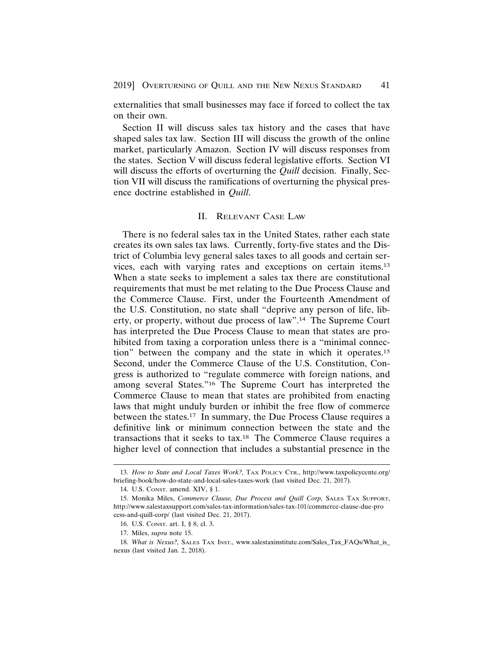externalities that small businesses may face if forced to collect the tax on their own.

Section II will discuss sales tax history and the cases that have shaped sales tax law. Section III will discuss the growth of the online market, particularly Amazon. Section IV will discuss responses from the states. Section V will discuss federal legislative efforts. Section VI will discuss the efforts of overturning the *Quill* decision. Finally, Section VII will discuss the ramifications of overturning the physical presence doctrine established in *Quill*.

#### II. RELEVANT CASE LAW

There is no federal sales tax in the United States, rather each state creates its own sales tax laws. Currently, forty-five states and the District of Columbia levy general sales taxes to all goods and certain services, each with varying rates and exceptions on certain items.13 When a state seeks to implement a sales tax there are constitutional requirements that must be met relating to the Due Process Clause and the Commerce Clause. First, under the Fourteenth Amendment of the U.S. Constitution, no state shall "deprive any person of life, liberty, or property, without due process of law".14 The Supreme Court has interpreted the Due Process Clause to mean that states are prohibited from taxing a corporation unless there is a "minimal connection" between the company and the state in which it operates.15 Second, under the Commerce Clause of the U.S. Constitution, Congress is authorized to "regulate commerce with foreign nations, and among several States."16 The Supreme Court has interpreted the Commerce Clause to mean that states are prohibited from enacting laws that might unduly burden or inhibit the free flow of commerce between the states.17 In summary, the Due Process Clause requires a definitive link or minimum connection between the state and the transactions that it seeks to tax.18 The Commerce Clause requires a higher level of connection that includes a substantial presence in the

<sup>13.</sup> *How to State and Local Taxes Work?,* TAX POLICY CTR., http://www.taxpolicycente.org/ briefing-book/how-do-state-and-local-sales-taxes-work (last visited Dec. 21, 2017).

<sup>14.</sup> U.S. CONST. amend. XIV, § 1.

<sup>15.</sup> Monika Miles, *Commerce Clause, Due Process and Quill Corp,* SALES TAX SUPPORT, http://www.salestaxsupport.com/sales-tax-information/sales-tax-101/commerce-clause-due-pro cess-and-quill-corp/ (last visited Dec. 21, 2017).

<sup>16.</sup> U.S. CONST. art. I, § 8, cl. 3.

<sup>17.</sup> Miles, *supra* note 15.

<sup>18.</sup> *What is Nexus?,* SALES TAX INST., www.salestaxinstitute.com/Sales\_Tax\_FAQs/What\_is\_ nexus (last visited Jan. 2, 2018).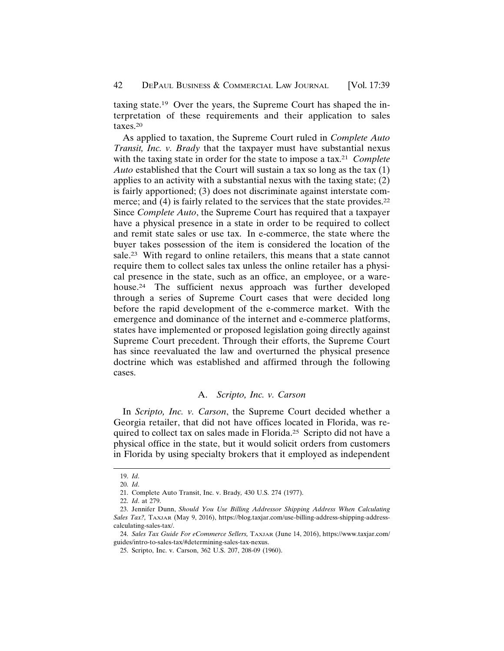taxing state.19 Over the years, the Supreme Court has shaped the interpretation of these requirements and their application to sales taxes.20

As applied to taxation, the Supreme Court ruled in *Complete Auto Transit, Inc. v. Brady* that the taxpayer must have substantial nexus with the taxing state in order for the state to impose a tax.21 *Complete Auto* established that the Court will sustain a tax so long as the tax (1) applies to an activity with a substantial nexus with the taxing state; (2) is fairly apportioned; (3) does not discriminate against interstate commerce; and (4) is fairly related to the services that the state provides.<sup>22</sup> Since *Complete Auto*, the Supreme Court has required that a taxpayer have a physical presence in a state in order to be required to collect and remit state sales or use tax. In e-commerce, the state where the buyer takes possession of the item is considered the location of the sale.23 With regard to online retailers, this means that a state cannot require them to collect sales tax unless the online retailer has a physical presence in the state, such as an office, an employee, or a warehouse.<sup>24</sup> The sufficient nexus approach was further developed through a series of Supreme Court cases that were decided long before the rapid development of the e-commerce market. With the emergence and dominance of the internet and e-commerce platforms, states have implemented or proposed legislation going directly against Supreme Court precedent. Through their efforts, the Supreme Court has since reevaluated the law and overturned the physical presence doctrine which was established and affirmed through the following cases.

#### A. *Scripto, Inc. v. Carson*

In *Scripto, Inc. v. Carson*, the Supreme Court decided whether a Georgia retailer, that did not have offices located in Florida, was required to collect tax on sales made in Florida.25 Scripto did not have a physical office in the state, but it would solicit orders from customers in Florida by using specialty brokers that it employed as independent

<sup>19.</sup> *Id*. 20. *Id*.

<sup>21.</sup> Complete Auto Transit, Inc. v. Brady*,* 430 U.S. 274 (1977).

<sup>22.</sup> *Id*. at 279.

<sup>23.</sup> Jennifer Dunn, *Should You Use Billing Addressor Shipping Address When Calculating Sales Tax?,* TAXJAR (May 9, 2016), https://blog.taxjar.com/use-billing-address-shipping-addresscalculating-sales-tax/.

<sup>24.</sup> *Sales Tax Guide For eCommerce Sellers,* TAXJAR (June 14, 2016), https://www.taxjar.com/ guides/intro-to-sales-tax/#determining-sales-tax-nexus.

<sup>25.</sup> Scripto, Inc. v. Carson, 362 U.S. 207, 208-09 (1960).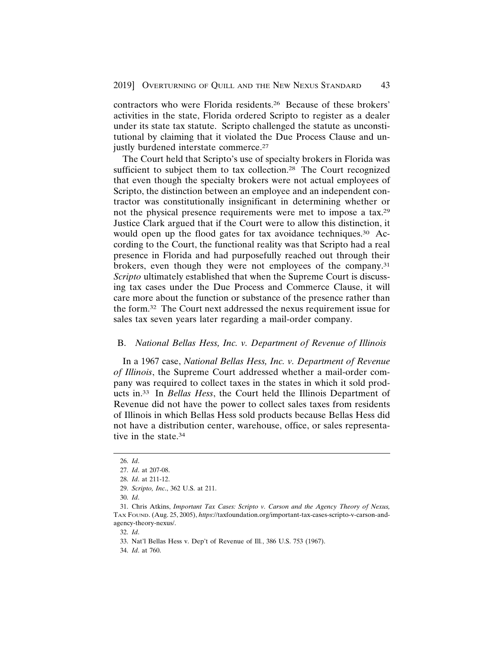contractors who were Florida residents.26 Because of these brokers' activities in the state, Florida ordered Scripto to register as a dealer under its state tax statute. Scripto challenged the statute as unconstitutional by claiming that it violated the Due Process Clause and unjustly burdened interstate commerce.<sup>27</sup>

The Court held that Scripto's use of specialty brokers in Florida was sufficient to subject them to tax collection.<sup>28</sup> The Court recognized that even though the specialty brokers were not actual employees of Scripto, the distinction between an employee and an independent contractor was constitutionally insignificant in determining whether or not the physical presence requirements were met to impose a tax.29 Justice Clark argued that if the Court were to allow this distinction, it would open up the flood gates for tax avoidance techniques.<sup>30</sup> According to the Court, the functional reality was that Scripto had a real presence in Florida and had purposefully reached out through their brokers, even though they were not employees of the company.<sup>31</sup> *Scripto* ultimately established that when the Supreme Court is discussing tax cases under the Due Process and Commerce Clause, it will care more about the function or substance of the presence rather than the form.32 The Court next addressed the nexus requirement issue for sales tax seven years later regarding a mail-order company.

#### B. *National Bellas Hess, Inc. v. Department of Revenue of Illinois*

In a 1967 case, *National Bellas Hess, Inc. v. Department of Revenue of Illinois*, the Supreme Court addressed whether a mail-order company was required to collect taxes in the states in which it sold products in.33 In *Bellas Hess*, the Court held the Illinois Department of Revenue did not have the power to collect sales taxes from residents of Illinois in which Bellas Hess sold products because Bellas Hess did not have a distribution center, warehouse, office, or sales representative in the state.34

<sup>26.</sup> *Id*.

<sup>27.</sup> *Id*. at 207-08.

<sup>28.</sup> *Id*. at 211-12.

<sup>29.</sup> *Scripto, Inc*., 362 U.S. at 211.

<sup>30.</sup> *Id*.

<sup>31.</sup> Chris Atkins, *Important Tax Cases: Scripto v. Carson and the Agency Theory of Nexus,* TAX FOUND. (Aug. 25, 2005), *https*://taxfoundation.org/important-tax-cases-scripto-v-carson-andagency-theory-nexus/.

<sup>32.</sup> *Id*.

<sup>33.</sup> Nat'l Bellas Hess v. Dep't of Revenue of Ill*.*, 386 U.S. 753 (1967).

<sup>34.</sup> *Id*. at 760.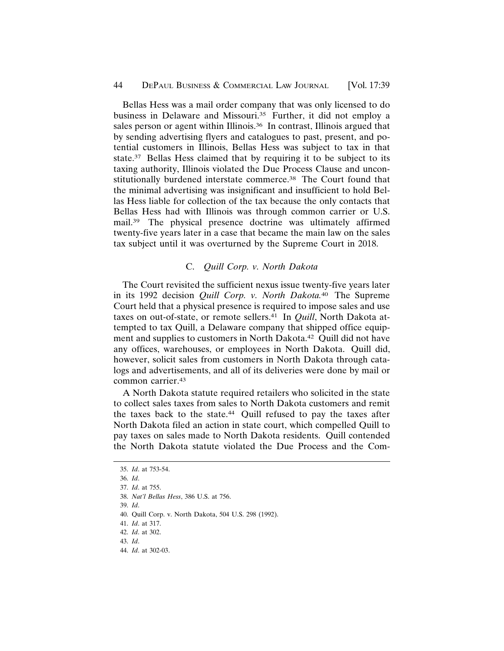#### 44 DEPAUL BUSINESS & COMMERCIAL LAW JOURNAL [Vol. 17:39]

Bellas Hess was a mail order company that was only licensed to do business in Delaware and Missouri.35 Further, it did not employ a sales person or agent within Illinois.<sup>36</sup> In contrast, Illinois argued that by sending advertising flyers and catalogues to past, present, and potential customers in Illinois, Bellas Hess was subject to tax in that state.<sup>37</sup> Bellas Hess claimed that by requiring it to be subject to its taxing authority, Illinois violated the Due Process Clause and unconstitutionally burdened interstate commerce.<sup>38</sup> The Court found that the minimal advertising was insignificant and insufficient to hold Bellas Hess liable for collection of the tax because the only contacts that Bellas Hess had with Illinois was through common carrier or U.S. mail.39 The physical presence doctrine was ultimately affirmed twenty-five years later in a case that became the main law on the sales tax subject until it was overturned by the Supreme Court in 2018.

# C. *Quill Corp. v. North Dakota*

The Court revisited the sufficient nexus issue twenty-five years later in its 1992 decision *Quill Corp. v. North Dakota.*40 The Supreme Court held that a physical presence is required to impose sales and use taxes on out-of-state, or remote sellers.41 In *Quill*, North Dakota attempted to tax Quill, a Delaware company that shipped office equipment and supplies to customers in North Dakota.42 Quill did not have any offices, warehouses, or employees in North Dakota. Quill did, however, solicit sales from customers in North Dakota through catalogs and advertisements, and all of its deliveries were done by mail or common carrier.43

A North Dakota statute required retailers who solicited in the state to collect sales taxes from sales to North Dakota customers and remit the taxes back to the state.44 Quill refused to pay the taxes after North Dakota filed an action in state court, which compelled Quill to pay taxes on sales made to North Dakota residents. Quill contended the North Dakota statute violated the Due Process and the Com-

39. *Id*.

<sup>35.</sup> *Id*. at 753-54.

<sup>36.</sup> *Id*.

<sup>37.</sup> *Id*. at 755.

<sup>38.</sup> *Nat'l Bellas Hess*, 386 U.S. at 756.

<sup>40.</sup> Quill Corp. v. North Dakota, 504 U.S. 298 (1992).

<sup>41.</sup> *Id*. at 317.

<sup>42.</sup> *Id*. at 302.

<sup>43.</sup> *Id*.

<sup>44.</sup> *Id*. at 302-03.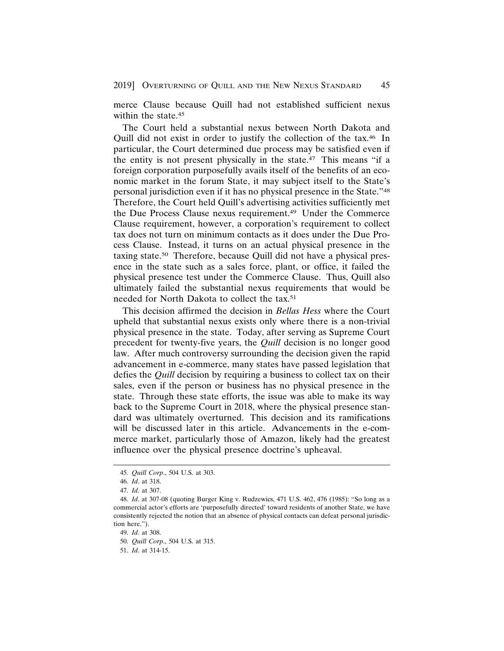2019] OVERTURNING OF QUILL AND THE NEW NEXUS STANDARD 45

merce Clause because Quill had not established sufficient nexus within the state.<sup>45</sup>

The Court held a substantial nexus between North Dakota and Quill did not exist in order to justify the collection of the tax.46 In particular, the Court determined due process may be satisfied even if the entity is not present physically in the state.47 This means "if a foreign corporation purposefully avails itself of the benefits of an economic market in the forum State, it may subject itself to the State's personal jurisdiction even if it has no physical presence in the State."48 Therefore, the Court held Quill's advertising activities sufficiently met the Due Process Clause nexus requirement.49 Under the Commerce Clause requirement, however, a corporation's requirement to collect tax does not turn on minimum contacts as it does under the Due Process Clause. Instead, it turns on an actual physical presence in the taxing state.50 Therefore, because Quill did not have a physical presence in the state such as a sales force, plant, or office, it failed the physical presence test under the Commerce Clause. Thus, Quill also ultimately failed the substantial nexus requirements that would be needed for North Dakota to collect the tax.51

This decision affirmed the decision in *Bellas Hess* where the Court upheld that substantial nexus exists only where there is a non-trivial physical presence in the state. Today, after serving as Supreme Court precedent for twenty-five years, the *Quill* decision is no longer good law. After much controversy surrounding the decision given the rapid advancement in e-commerce, many states have passed legislation that defies the *Quill* decision by requiring a business to collect tax on their sales, even if the person or business has no physical presence in the state. Through these state efforts, the issue was able to make its way back to the Supreme Court in 2018, where the physical presence standard was ultimately overturned. This decision and its ramifications will be discussed later in this article. Advancements in the e-commerce market, particularly those of Amazon, likely had the greatest influence over the physical presence doctrine's upheaval.

<sup>45.</sup> *Quill Corp*., 504 U.S. at 303.

<sup>46.</sup> *Id*. at 318.

<sup>47.</sup> *Id*. at 307.

<sup>48.</sup> *Id*. at 307-08 (quoting Burger King v. Rudzewics, 471 U.S. 462, 476 (1985): "So long as a commercial actor's efforts are 'purposefully directed' toward residents of another State, we have consistently rejected the notion that an absence of physical contacts can defeat personal jurisdiction here.").

<sup>49.</sup> *Id*. at 308.

<sup>50.</sup> *Quill Corp*., 504 U.S. at 315.

<sup>51.</sup> *Id*. at 314-15.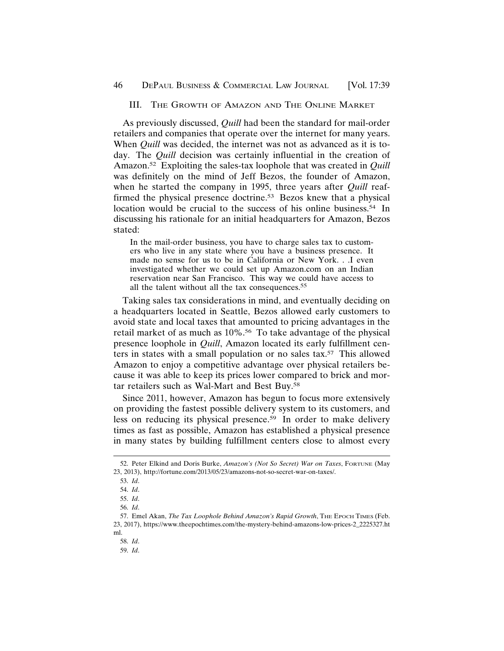#### III. THE GROWTH OF AMAZON AND THE ONLINE MARKET

As previously discussed, *Quill* had been the standard for mail-order retailers and companies that operate over the internet for many years. When *Quill* was decided, the internet was not as advanced as it is today. The *Quill* decision was certainly influential in the creation of Amazon.52 Exploiting the sales-tax loophole that was created in *Quill* was definitely on the mind of Jeff Bezos, the founder of Amazon, when he started the company in 1995, three years after *Quill* reaffirmed the physical presence doctrine.<sup>53</sup> Bezos knew that a physical location would be crucial to the success of his online business.54 In discussing his rationale for an initial headquarters for Amazon, Bezos stated:

In the mail-order business, you have to charge sales tax to customers who live in any state where you have a business presence. It made no sense for us to be in California or New York. . .I even investigated whether we could set up Amazon.com on an Indian reservation near San Francisco. This way we could have access to all the talent without all the tax consequences.55

Taking sales tax considerations in mind, and eventually deciding on a headquarters located in Seattle, Bezos allowed early customers to avoid state and local taxes that amounted to pricing advantages in the retail market of as much as 10%.56 To take advantage of the physical presence loophole in *Quill*, Amazon located its early fulfillment centers in states with a small population or no sales tax.57 This allowed Amazon to enjoy a competitive advantage over physical retailers because it was able to keep its prices lower compared to brick and mortar retailers such as Wal-Mart and Best Buy.58

Since 2011, however, Amazon has begun to focus more extensively on providing the fastest possible delivery system to its customers, and less on reducing its physical presence.59 In order to make delivery times as fast as possible, Amazon has established a physical presence in many states by building fulfillment centers close to almost every

<sup>52.</sup> Peter Elkind and Doris Burke, *Amazon's (Not So Secret) War on Taxes*, FORTUNE (May 23, 2013), http://fortune.com/2013/05/23/amazons-not-so-secret-war-on-taxes/.

<sup>53.</sup> *Id*.

<sup>54.</sup> *Id*.

<sup>55.</sup> *Id*.

<sup>56.</sup> *Id*.

<sup>57.</sup> Emel Akan, *The Tax Loophole Behind Amazon's Rapid Growth*, THE EPOCH TIMES (Feb. 23, 2017), https://www.theepochtimes.com/the-mystery-behind-amazons-low-prices-2\_2225327.ht ml.

<sup>58.</sup> *Id*.

<sup>59.</sup> *Id*.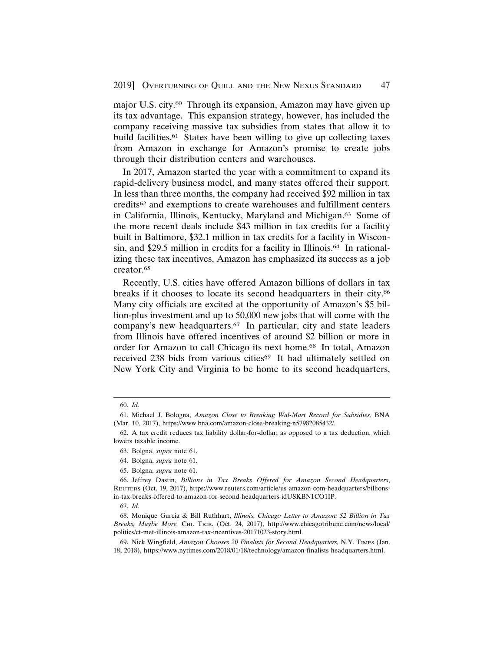major U.S. city.60 Through its expansion, Amazon may have given up its tax advantage. This expansion strategy, however, has included the company receiving massive tax subsidies from states that allow it to build facilities.61 States have been willing to give up collecting taxes from Amazon in exchange for Amazon's promise to create jobs through their distribution centers and warehouses.

In 2017, Amazon started the year with a commitment to expand its rapid-delivery business model, and many states offered their support. In less than three months, the company had received \$92 million in tax credits62 and exemptions to create warehouses and fulfillment centers in California, Illinois, Kentucky, Maryland and Michigan.63 Some of the more recent deals include \$43 million in tax credits for a facility built in Baltimore, \$32.1 million in tax credits for a facility in Wisconsin, and \$29.5 million in credits for a facility in Illinois.<sup>64</sup> In rationalizing these tax incentives, Amazon has emphasized its success as a job creator.65

Recently, U.S. cities have offered Amazon billions of dollars in tax breaks if it chooses to locate its second headquarters in their city.66 Many city officials are excited at the opportunity of Amazon's \$5 billion-plus investment and up to 50,000 new jobs that will come with the company's new headquarters.67 In particular, city and state leaders from Illinois have offered incentives of around \$2 billion or more in order for Amazon to call Chicago its next home.68 In total, Amazon received 238 bids from various cities<sup>69</sup> It had ultimately settled on New York City and Virginia to be home to its second headquarters,

<sup>60.</sup> *Id*.

<sup>61.</sup> Michael J. Bologna, *Amazon Close to Breaking Wal-Mart Record for Subsidies*, BNA (Mar. 10, 2017), https://www.bna.com/amazon-close-breaking-n57982085432/.

<sup>62.</sup> A tax credit reduces tax liability dollar-for-dollar, as opposed to a tax deduction, which lowers taxable income.

<sup>63.</sup> Bolgna, *supra* note 61.

<sup>64.</sup> Bolgna, *supra* note 61.

<sup>65.</sup> Bolgna, *supra* note 61.

<sup>66.</sup> Jeffrey Dastin, *Billions in Tax Breaks Offered for Amazon Second Headquarters*, REUTERS (Oct. 19, 2017), https://www.reuters.com/article/us-amazon-com-headquarters/billionsin-tax-breaks-offered-to-amazon-for-second-headquarters-idUSKBN1CO1IP.

<sup>67.</sup> *Id*.

<sup>68.</sup> Monique Garcia & Bill Ruthhart, *Illinois, Chicago Letter to Amazon: \$2 Billion in Tax Breaks, Maybe More,* CHI. TRIB. (Oct. 24, 2017), http://www.chicagotribune.com/news/local/ politics/ct-met-illinois-amazon-tax-incentives-20171023-story.html.

<sup>69.</sup> Nick Wingfield, *Amazon Chooses 20 Finalists for Second Headquarters,* N.Y. TIMES (Jan. 18, 2018), https://www.nytimes.com/2018/01/18/technology/amazon-finalists-headquarters.html.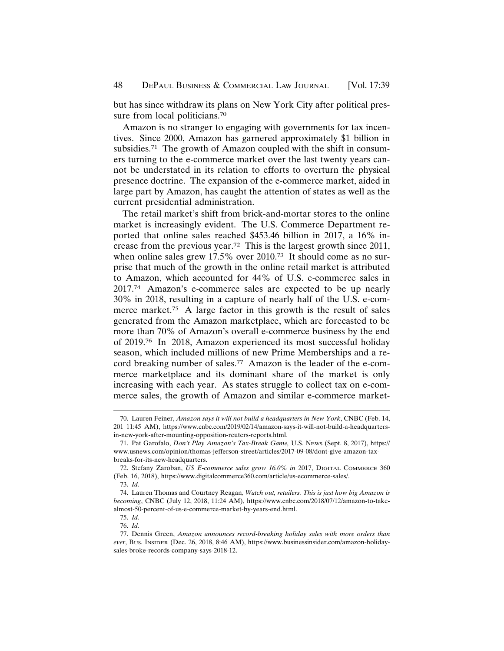but has since withdraw its plans on New York City after political pressure from local politicians.<sup>70</sup>

Amazon is no stranger to engaging with governments for tax incentives. Since 2000, Amazon has garnered approximately \$1 billion in subsidies.<sup>71</sup> The growth of Amazon coupled with the shift in consumers turning to the e-commerce market over the last twenty years cannot be understated in its relation to efforts to overturn the physical presence doctrine. The expansion of the e-commerce market, aided in large part by Amazon, has caught the attention of states as well as the current presidential administration.

The retail market's shift from brick-and-mortar stores to the online market is increasingly evident. The U.S. Commerce Department reported that online sales reached \$453.46 billion in 2017, a 16% increase from the previous year.72 This is the largest growth since 2011, when online sales grew 17.5% over 2010.<sup>73</sup> It should come as no surprise that much of the growth in the online retail market is attributed to Amazon, which accounted for 44% of U.S. e-commerce sales in 2017.74 Amazon's e-commerce sales are expected to be up nearly 30% in 2018, resulting in a capture of nearly half of the U.S. e-commerce market.<sup>75</sup> A large factor in this growth is the result of sales generated from the Amazon marketplace, which are forecasted to be more than 70% of Amazon's overall e-commerce business by the end of 2019.76 In 2018, Amazon experienced its most successful holiday season, which included millions of new Prime Memberships and a record breaking number of sales.77 Amazon is the leader of the e-commerce marketplace and its dominant share of the market is only increasing with each year. As states struggle to collect tax on e-commerce sales, the growth of Amazon and similar e-commerce market-

<sup>70.</sup> Lauren Feiner, *Amazon says it will not build a headquarters in New York*, CNBC (Feb. 14, 201 11:45 AM), https://www.cnbc.com/2019/02/14/amazon-says-it-will-not-build-a-headquartersin-new-york-after-mounting-opposition-reuters-reports.html.

<sup>71.</sup> Pat Garofalo, *Don't Play Amazon's Tax-Break Game,* U.S. NEWS (Sept. 8, 2017), https:// www.usnews.com/opinion/thomas-jefferson-street/articles/2017-09-08/dont-give-amazon-taxbreaks-for-its-new-headquarters.

<sup>72.</sup> Stefany Zaroban, *US E-commerce sales grow 16.0% in* 2017, DIGITAL COMMERCE 360 (Feb. 16, 2018), https://www.digitalcommerce360.com/article/us-ecommerce-sales/.

<sup>73.</sup> *Id*.

<sup>74.</sup> Lauren Thomas and Courtney Reagan*, Watch out, retailers. This is just how big Amazon is becoming*, CNBC (July 12, 2018, 11:24 AM), https://www.cnbc.com/2018/07/12/amazon-to-takealmost-50-percent-of-us-e-commerce-market-by-years-end.html.

<sup>75.</sup> *Id*.

<sup>76.</sup> *Id*.

<sup>77.</sup> Dennis Green, *Amazon announces record-breaking holiday sales with more orders than ever*, BUS. INSIDER (Dec. 26, 2018, 8:46 AM), https://www.businessinsider.com/amazon-holidaysales-broke-records-company-says-2018-12.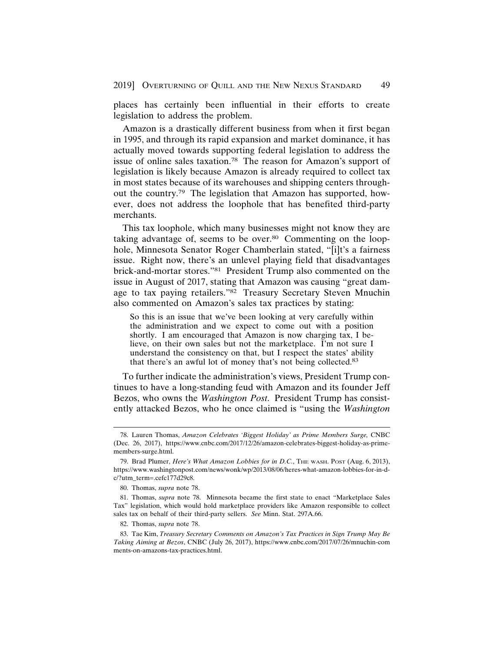2019] OVERTURNING OF QUILL AND THE NEW NEXUS STANDARD 49

places has certainly been influential in their efforts to create legislation to address the problem.

Amazon is a drastically different business from when it first began in 1995, and through its rapid expansion and market dominance, it has actually moved towards supporting federal legislation to address the issue of online sales taxation.78 The reason for Amazon's support of legislation is likely because Amazon is already required to collect tax in most states because of its warehouses and shipping centers throughout the country.79 The legislation that Amazon has supported, however, does not address the loophole that has benefited third-party merchants.

This tax loophole, which many businesses might not know they are taking advantage of, seems to be over.<sup>80</sup> Commenting on the loophole, Minnesota Senator Roger Chamberlain stated, "[i]t's a fairness issue. Right now, there's an unlevel playing field that disadvantages brick-and-mortar stores."81 President Trump also commented on the issue in August of 2017, stating that Amazon was causing "great damage to tax paying retailers."82 Treasury Secretary Steven Mnuchin also commented on Amazon's sales tax practices by stating:

So this is an issue that we've been looking at very carefully within the administration and we expect to come out with a position shortly. I am encouraged that Amazon is now charging tax, I believe, on their own sales but not the marketplace. I'm not sure I understand the consistency on that, but I respect the states' ability that there's an awful lot of money that's not being collected.83

To further indicate the administration's views, President Trump continues to have a long-standing feud with Amazon and its founder Jeff Bezos, who owns the *Washington Post*. President Trump has consistently attacked Bezos, who he once claimed is "using the *Washington*

<sup>78.</sup> Lauren Thomas, *Amazon Celebrates 'Biggest Holiday' as Prime Members Surge,* CNBC (Dec. 26, 2017), https://www.cnbc.com/2017/12/26/amazon-celebrates-biggest-holiday-as-primemembers-surge.html.

<sup>79.</sup> Brad Plumer, *Here's What Amazon Lobbies for in D.C.*, THE WASH. POST (Aug. 6, 2013), https://www.washingtonpost.com/news/wonk/wp/2013/08/06/heres-what-amazon-lobbies-for-in-dc/?utm\_term=.cefc177d29c8.

<sup>80.</sup> Thomas, *supra* note 78.

<sup>81.</sup> Thomas, *supra* note 78. Minnesota became the first state to enact "Marketplace Sales Tax" legislation, which would hold marketplace providers like Amazon responsible to collect sales tax on behalf of their third-party sellers. *See* Minn. Stat. 297A.66.

<sup>82.</sup> Thomas, *supra* note 78.

<sup>83.</sup> Tae Kim, *Treasury Secretary Comments on Amazon's Tax Practices in Sign Trump May Be Taking Aiming at Bezos*, CNBC (July 26, 2017), https://www.cnbc.com/2017/07/26/mnuchin-com ments-on-amazons-tax-practices.html.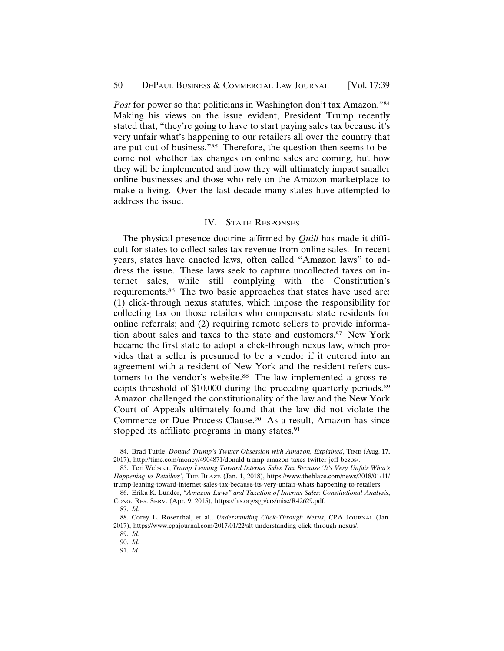*Post* for power so that politicians in Washington don't tax Amazon."<sup>84</sup> Making his views on the issue evident, President Trump recently stated that, "they're going to have to start paying sales tax because it's very unfair what's happening to our retailers all over the country that are put out of business."85 Therefore, the question then seems to become not whether tax changes on online sales are coming, but how they will be implemented and how they will ultimately impact smaller online businesses and those who rely on the Amazon marketplace to make a living. Over the last decade many states have attempted to address the issue.

# IV. STATE RESPONSES

The physical presence doctrine affirmed by *Quill* has made it difficult for states to collect sales tax revenue from online sales. In recent years, states have enacted laws, often called "Amazon laws" to address the issue. These laws seek to capture uncollected taxes on internet sales, while still complying with the Constitution's requirements.86 The two basic approaches that states have used are: (1) click-through nexus statutes, which impose the responsibility for collecting tax on those retailers who compensate state residents for online referrals; and (2) requiring remote sellers to provide information about sales and taxes to the state and customers.87 New York became the first state to adopt a click-through nexus law, which provides that a seller is presumed to be a vendor if it entered into an agreement with a resident of New York and the resident refers customers to the vendor's website.<sup>88</sup> The law implemented a gross receipts threshold of \$10,000 during the preceding quarterly periods.89 Amazon challenged the constitutionality of the law and the New York Court of Appeals ultimately found that the law did not violate the Commerce or Due Process Clause.90 As a result, Amazon has since stopped its affiliate programs in many states.<sup>91</sup>

<sup>84.</sup> Brad Tuttle, *Donald Trump's Twitter Obsession with Amazon, Explained*, TIME (Aug. 17, 2017), http://time.com/money/4904871/donald-trump-amazon-taxes-twitter-jeff-bezos/.

<sup>85.</sup> Teri Webster, *Trump Leaning Toward Internet Sales Tax Because 'It's Very Unfair What's Happening to Retailers'*, THE BLAZE (Jan. 1, 2018), https://www.theblaze.com/news/2018/01/11/ trump-leaning-toward-internet-sales-tax-because-its-very-unfair-whats-happening-to-retailers.

<sup>86.</sup> Erika K. Lunder, *"Amazon Laws" and Taxation of Internet Sales: Constitutional Analysis*, CONG. RES. SERV. (Apr. 9, 2015), https://fas.org/sgp/crs/misc/R42629.pdf.

<sup>87.</sup> *Id*.

<sup>88.</sup> Corey L. Rosenthal, et al., *Understanding Click-Through Nexus*, CPA JOURNAL (Jan. 2017), https://www.cpajournal.com/2017/01/22/slt-understanding-click-through-nexus/.

<sup>89.</sup> *Id*.

<sup>90.</sup> *Id*.

<sup>91.</sup> *Id*.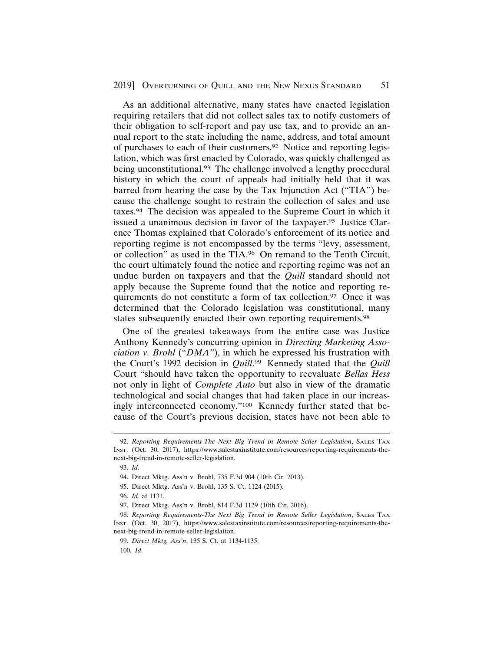#### 2019] OVERTURNING OF QUILL AND THE NEW NEXUS STANDARD 51

As an additional alternative, many states have enacted legislation requiring retailers that did not collect sales tax to notify customers of their obligation to self-report and pay use tax, and to provide an annual report to the state including the name, address, and total amount of purchases to each of their customers.92 Notice and reporting legislation, which was first enacted by Colorado, was quickly challenged as being unconstitutional.<sup>93</sup> The challenge involved a lengthy procedural history in which the court of appeals had initially held that it was barred from hearing the case by the Tax Injunction Act ("TIA") because the challenge sought to restrain the collection of sales and use taxes.94 The decision was appealed to the Supreme Court in which it issued a unanimous decision in favor of the taxpayer.95 Justice Clarence Thomas explained that Colorado's enforcement of its notice and reporting regime is not encompassed by the terms "levy, assessment, or collection" as used in the TIA.96 On remand to the Tenth Circuit, the court ultimately found the notice and reporting regime was not an undue burden on taxpayers and that the *Quill* standard should not apply because the Supreme found that the notice and reporting requirements do not constitute a form of tax collection.97 Once it was determined that the Colorado legislation was constitutional, many states subsequently enacted their own reporting requirements.<sup>98</sup>

One of the greatest takeaways from the entire case was Justice Anthony Kennedy's concurring opinion in *Directing Marketing Association v. Brohl* ("*DMA"*), in which he expressed his frustration with the Court's 1992 decision in *Quill*. 99 Kennedy stated that the *Quill* Court "should have taken the opportunity to reevaluate *Bellas Hess* not only in light of *Complete Auto* but also in view of the dramatic technological and social changes that had taken place in our increasingly interconnected economy."100 Kennedy further stated that because of the Court's previous decision, states have not been able to

<sup>92.</sup> *Reporting Requirements-The Next Big Trend in Remote Seller Legislation*, SALES TAX INST. (Oct. 30, 2017), https://www.salestaxinstitute.com/resources/reporting-requirements-thenext-big-trend-in-remote-seller-legislation.

<sup>93.</sup> *Id*.

<sup>94.</sup> Direct Mktg. Ass'n v. Brohl, 735 F.3d 904 (10th Cir. 2013).

<sup>95.</sup> Direct Mktg. Ass'n v. Brohl, 135 S. Ct. 1124 (2015).

<sup>96.</sup> *Id*. at 1131.

<sup>97.</sup> Direct Mktg. Ass'n v. Brohl, 814 F.3d 1129 (10th Cir. 2016).

<sup>98.</sup> Reporting Requirements-The Next Big Trend in Remote Seller Legislation, SALES TAX INST. (Oct. 30, 2017), https://www.salestaxinstitute.com/resources/reporting-requirements-thenext-big-trend-in-remote-seller-legislation.

<sup>99.</sup> *Direct Mktg. Ass'n*, 135 S. Ct. at 1134-1135. 100. *Id*.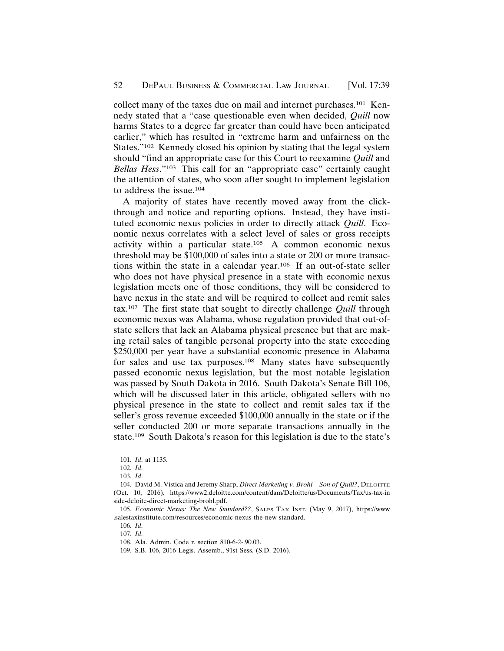collect many of the taxes due on mail and internet purchases.101 Kennedy stated that a "case questionable even when decided, *Quill* now harms States to a degree far greater than could have been anticipated earlier," which has resulted in "extreme harm and unfairness on the States."102 Kennedy closed his opinion by stating that the legal system should "find an appropriate case for this Court to reexamine *Quill* and *Bellas Hess*."103 This call for an "appropriate case" certainly caught the attention of states, who soon after sought to implement legislation to address the issue.104

A majority of states have recently moved away from the clickthrough and notice and reporting options. Instead, they have instituted economic nexus policies in order to directly attack *Quill*. Economic nexus correlates with a select level of sales or gross receipts activity within a particular state.105 A common economic nexus threshold may be \$100,000 of sales into a state or 200 or more transactions within the state in a calendar year.106 If an out-of-state seller who does not have physical presence in a state with economic nexus legislation meets one of those conditions, they will be considered to have nexus in the state and will be required to collect and remit sales tax.107 The first state that sought to directly challenge *Quill* through economic nexus was Alabama, whose regulation provided that out-ofstate sellers that lack an Alabama physical presence but that are making retail sales of tangible personal property into the state exceeding \$250,000 per year have a substantial economic presence in Alabama for sales and use tax purposes.108 Many states have subsequently passed economic nexus legislation, but the most notable legislation was passed by South Dakota in 2016. South Dakota's Senate Bill 106, which will be discussed later in this article, obligated sellers with no physical presence in the state to collect and remit sales tax if the seller's gross revenue exceeded \$100,000 annually in the state or if the seller conducted 200 or more separate transactions annually in the state.109 South Dakota's reason for this legislation is due to the state's

<sup>101.</sup> *Id*. at 1135.

<sup>102.</sup> *Id*.

<sup>103.</sup> *Id*.

<sup>104.</sup> David M. Vistica and Jeremy Sharp, *Direct Marketing v. Brohl—Son of Quill?*, DELOITTE (Oct. 10, 2016), https://www2.deloitte.com/content/dam/Deloitte/us/Documents/Tax/us-tax-in side-deloite-direct-marketing-brohl.pdf.

<sup>105.</sup> *Economic Nexus: The New Standard??*, SALES TAX INST. (May 9, 2017), https://www .salestaxinstitute.com/resources/economic-nexus-the-new-standard.

<sup>106.</sup> *Id*.

<sup>107.</sup> *Id*.

<sup>108.</sup> Ala. Admin. Code r. section 810-6-2-.90.03.

<sup>109.</sup> S.B. 106, 2016 Legis. Assemb., 91st Sess. (S.D. 2016).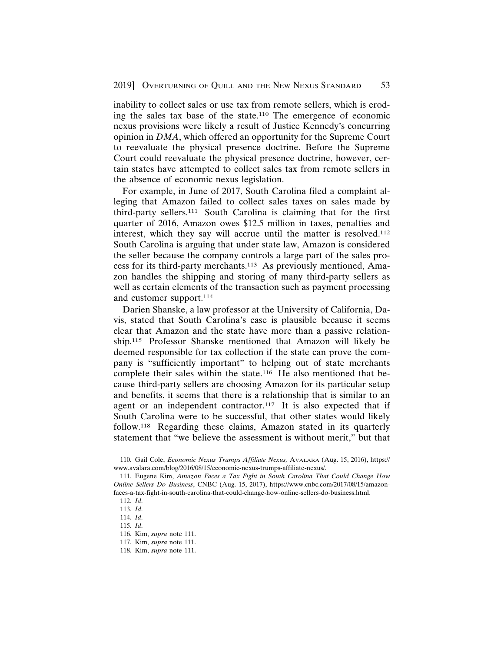inability to collect sales or use tax from remote sellers, which is eroding the sales tax base of the state.110 The emergence of economic nexus provisions were likely a result of Justice Kennedy's concurring opinion in *DMA*, which offered an opportunity for the Supreme Court to reevaluate the physical presence doctrine. Before the Supreme Court could reevaluate the physical presence doctrine, however, certain states have attempted to collect sales tax from remote sellers in the absence of economic nexus legislation.

For example, in June of 2017, South Carolina filed a complaint alleging that Amazon failed to collect sales taxes on sales made by third-party sellers.111 South Carolina is claiming that for the first quarter of 2016, Amazon owes \$12.5 million in taxes, penalties and interest, which they say will accrue until the matter is resolved.112 South Carolina is arguing that under state law, Amazon is considered the seller because the company controls a large part of the sales process for its third-party merchants.113 As previously mentioned, Amazon handles the shipping and storing of many third-party sellers as well as certain elements of the transaction such as payment processing and customer support.114

Darien Shanske, a law professor at the University of California, Davis, stated that South Carolina's case is plausible because it seems clear that Amazon and the state have more than a passive relationship.115 Professor Shanske mentioned that Amazon will likely be deemed responsible for tax collection if the state can prove the company is "sufficiently important" to helping out of state merchants complete their sales within the state.116 He also mentioned that because third-party sellers are choosing Amazon for its particular setup and benefits, it seems that there is a relationship that is similar to an agent or an independent contractor.<sup>117</sup> It is also expected that if South Carolina were to be successful, that other states would likely follow.118 Regarding these claims, Amazon stated in its quarterly statement that "we believe the assessment is without merit," but that

<sup>110.</sup> Gail Cole, *Economic Nexus Trumps Affiliate Nexus,* AVALARA (Aug. 15, 2016), https:// www.avalara.com/blog/2016/08/15/economic-nexus-trumps-affiliate-nexus/.

<sup>111.</sup> Eugene Kim, *Amazon Faces a Tax Fight in South Carolina That Could Change How Online Sellers Do Business*, CNBC (Aug. 15, 2017), https://www.cnbc.com/2017/08/15/amazonfaces-a-tax-fight-in-south-carolina-that-could-change-how-online-sellers-do-business.html.

<sup>112.</sup> *Id*.

<sup>113.</sup> *Id*.

<sup>114.</sup> *Id*.

<sup>115.</sup> *Id*.

<sup>116.</sup> Kim, *supra* note 111.

<sup>117.</sup> Kim, *supra* note 111.

<sup>118.</sup> Kim, *supra* note 111.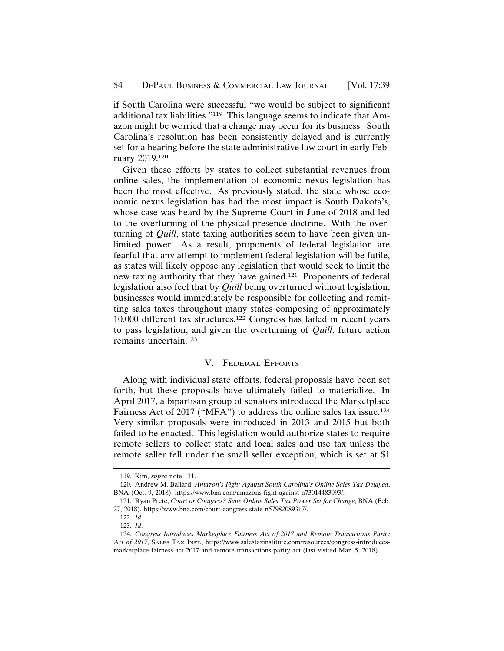if South Carolina were successful "we would be subject to significant additional tax liabilities."119 This language seems to indicate that Amazon might be worried that a change may occur for its business. South Carolina's resolution has been consistently delayed and is currently set for a hearing before the state administrative law court in early February 2019.120

Given these efforts by states to collect substantial revenues from online sales, the implementation of economic nexus legislation has been the most effective. As previously stated, the state whose economic nexus legislation has had the most impact is South Dakota's, whose case was heard by the Supreme Court in June of 2018 and led to the overturning of the physical presence doctrine. With the overturning of *Quill*, state taxing authorities seem to have been given unlimited power. As a result, proponents of federal legislation are fearful that any attempt to implement federal legislation will be futile, as states will likely oppose any legislation that would seek to limit the new taxing authority that they have gained.121 Proponents of federal legislation also feel that by *Quill* being overturned without legislation, businesses would immediately be responsible for collecting and remitting sales taxes throughout many states composing of approximately 10,000 different tax structures.122 Congress has failed in recent years to pass legislation, and given the overturning of *Quill*, future action remains uncertain.123

### V. FEDERAL EFFORTS

Along with individual state efforts, federal proposals have been set forth, but these proposals have ultimately failed to materialize. In April 2017, a bipartisan group of senators introduced the Marketplace Fairness Act of 2017 ("MFA") to address the online sales tax issue.124 Very similar proposals were introduced in 2013 and 2015 but both failed to be enacted. This legislation would authorize states to require remote sellers to collect state and local sales and use tax unless the remote seller fell under the small seller exception, which is set at \$1

<sup>119.</sup> Kim, *supra* note 111.

<sup>120.</sup> Andrew M. Ballard, *Amazon's Fight Against South Carolina's Online Sales Tax Delayed*, BNA (Oct. 9, 2018), https://www.bna.com/amazons-fight-against-n73014483093/.

<sup>121.</sup> Ryan Prete, *Court or Congress? State Online Sales Tax Power Set for Change*, BNA (Feb. 27, 2018), https://www.bna.com/court-congress-state-n57982089317/.

<sup>122.</sup> *Id*.

<sup>123.</sup> *Id*.

<sup>124.</sup> *Congress Introduces Marketplace Fairness Act of 2017 and Remote Transactions Parity Act of 2017*, SALES TAX INST., https://www.salestaxinstitute.com/resources/congress-introducesmarketplace-fairness-act-2017-and-remote-transactions-parity-act (last visited Mar. 5, 2018).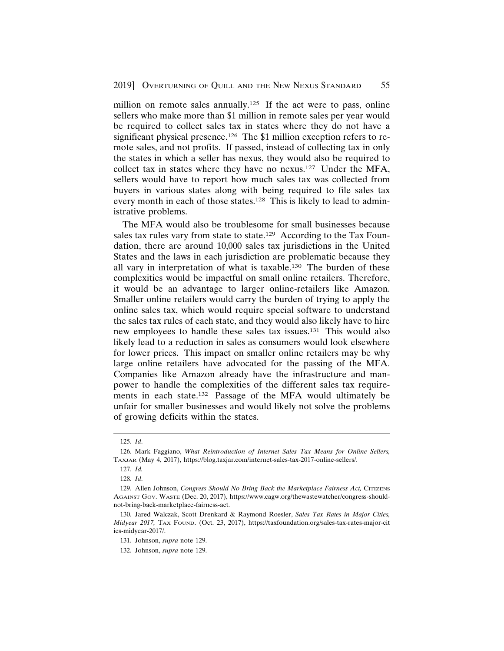million on remote sales annually.<sup>125</sup> If the act were to pass, online sellers who make more than \$1 million in remote sales per year would be required to collect sales tax in states where they do not have a significant physical presence.<sup>126</sup> The \$1 million exception refers to remote sales, and not profits. If passed, instead of collecting tax in only the states in which a seller has nexus, they would also be required to collect tax in states where they have no nexus.127 Under the MFA, sellers would have to report how much sales tax was collected from buyers in various states along with being required to file sales tax every month in each of those states.<sup>128</sup> This is likely to lead to administrative problems.

The MFA would also be troublesome for small businesses because sales tax rules vary from state to state.<sup>129</sup> According to the Tax Foundation, there are around 10,000 sales tax jurisdictions in the United States and the laws in each jurisdiction are problematic because they all vary in interpretation of what is taxable.130 The burden of these complexities would be impactful on small online retailers. Therefore, it would be an advantage to larger online-retailers like Amazon. Smaller online retailers would carry the burden of trying to apply the online sales tax, which would require special software to understand the sales tax rules of each state, and they would also likely have to hire new employees to handle these sales tax issues.131 This would also likely lead to a reduction in sales as consumers would look elsewhere for lower prices. This impact on smaller online retailers may be why large online retailers have advocated for the passing of the MFA. Companies like Amazon already have the infrastructure and manpower to handle the complexities of the different sales tax requirements in each state.132 Passage of the MFA would ultimately be unfair for smaller businesses and would likely not solve the problems of growing deficits within the states.

<sup>125.</sup> *Id*.

<sup>126.</sup> Mark Faggiano, *What Reintroduction of Internet Sales Tax Means for Online Sellers,* TAXJAR (May 4, 2017), https://blog.taxjar.com/internet-sales-tax-2017-online-sellers/.

<sup>127.</sup> *Id.*

<sup>128.</sup> *Id*.

<sup>129.</sup> Allen Johnson, *Congress Should No Bring Back the Marketplace Fairness Act*, CITIZENS AGAINST GOV. WASTE (Dec. 20, 2017), https://www.cagw.org/thewastewatcher/congress-shouldnot-bring-back-marketplace-fairness-act.

<sup>130.</sup> Jared Walczak, Scott Drenkard & Raymond Roesler, *Sales Tax Rates in Major Cities, Midyear 2017,* TAX FOUND. (Oct. 23, 2017), https://taxfoundation.org/sales-tax-rates-major-cit ies-midyear-2017/.

<sup>131.</sup> Johnson, *supra* note 129.

<sup>132.</sup> Johnson, *supra* note 129.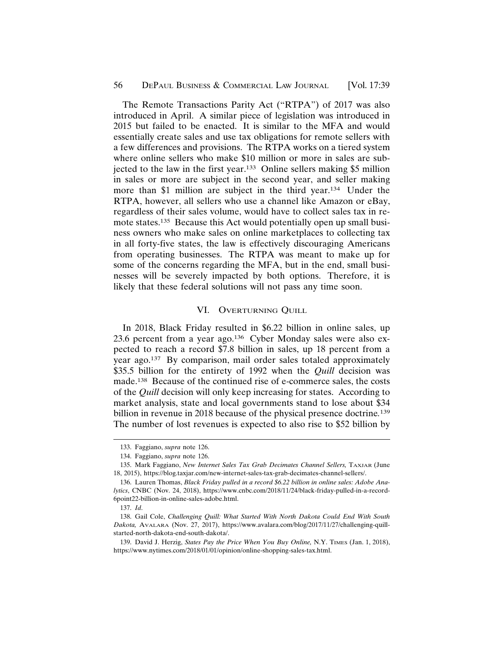#### 56 DEPAUL BUSINESS & COMMERCIAL LAW JOURNAL [Vol. 17:39

The Remote Transactions Parity Act ("RTPA") of 2017 was also introduced in April. A similar piece of legislation was introduced in 2015 but failed to be enacted. It is similar to the MFA and would essentially create sales and use tax obligations for remote sellers with a few differences and provisions. The RTPA works on a tiered system where online sellers who make \$10 million or more in sales are subjected to the law in the first year.133 Online sellers making \$5 million in sales or more are subject in the second year, and seller making more than \$1 million are subject in the third year.134 Under the RTPA, however, all sellers who use a channel like Amazon or eBay, regardless of their sales volume, would have to collect sales tax in remote states.135 Because this Act would potentially open up small business owners who make sales on online marketplaces to collecting tax in all forty-five states, the law is effectively discouraging Americans from operating businesses. The RTPA was meant to make up for some of the concerns regarding the MFA, but in the end, small businesses will be severely impacted by both options. Therefore, it is likely that these federal solutions will not pass any time soon.

#### VI. OVERTURNING QUILL

In 2018, Black Friday resulted in \$6.22 billion in online sales, up 23.6 percent from a year ago.136 Cyber Monday sales were also expected to reach a record \$7.8 billion in sales, up 18 percent from a year ago.137 By comparison, mail order sales totaled approximately \$35.5 billion for the entirety of 1992 when the *Quill* decision was made.138 Because of the continued rise of e-commerce sales, the costs of the *Quill* decision will only keep increasing for states. According to market analysis, state and local governments stand to lose about \$34 billion in revenue in 2018 because of the physical presence doctrine*.* 139 The number of lost revenues is expected to also rise to \$52 billion by

<sup>133.</sup> Faggiano, *supra* note 126.

<sup>134.</sup> Faggiano, *supra* note 126.

<sup>135.</sup> Mark Faggiano, *New Internet Sales Tax Grab Decimates Channel Sellers*, TAXJAR (June 18, 2015), https://blog.taxjar.com/new-internet-sales-tax-grab-decimates-channel-sellers/.

<sup>136.</sup> Lauren Thomas, *Black Friday pulled in a record \$6.22 billion in online sales: Adobe Analytics*, CNBC (Nov. 24, 2018), https://www.cnbc.com/2018/11/24/black-friday-pulled-in-a-record-6point22-billion-in-online-sales-adobe.html.

<sup>137.</sup> *Id*.

<sup>138.</sup> Gail Cole, *Challenging Quill: What Started With North Dakota Could End With South Dakota,* AVALARA (Nov. 27, 2017), https://www.avalara.com/blog/2017/11/27/challenging-quillstarted-north-dakota-end-south-dakota/.

<sup>139.</sup> David J. Herzig, *States Pay the Price When You Buy Online,* N.Y. TIMES (Jan. 1, 2018), https://www.nytimes.com/2018/01/01/opinion/online-shopping-sales-tax.html.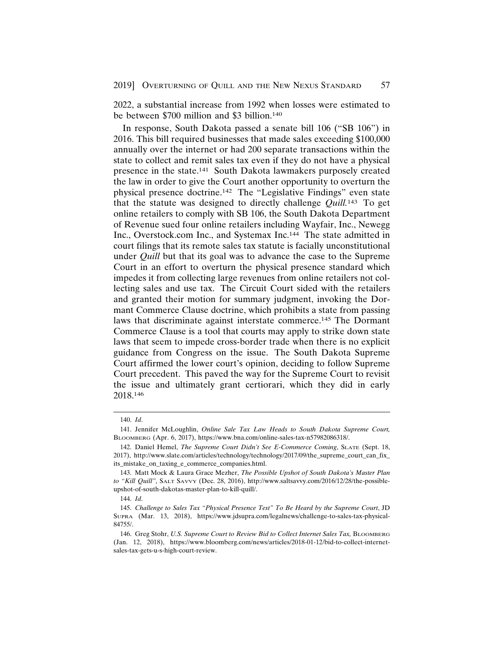2019] OVERTURNING OF QUILL AND THE NEW NEXUS STANDARD 57

2022, a substantial increase from 1992 when losses were estimated to be between \$700 million and \$3 billion.140

In response, South Dakota passed a senate bill 106 ("SB 106") in 2016. This bill required businesses that made sales exceeding \$100,000 annually over the internet or had 200 separate transactions within the state to collect and remit sales tax even if they do not have a physical presence in the state.141 South Dakota lawmakers purposely created the law in order to give the Court another opportunity to overturn the physical presence doctrine.142 The "Legislative Findings" even state that the statute was designed to directly challenge *Quill.*143 To get online retailers to comply with SB 106, the South Dakota Department of Revenue sued four online retailers including Wayfair, Inc., Newegg Inc., Overstock.com Inc., and Systemax Inc.144 The state admitted in court filings that its remote sales tax statute is facially unconstitutional under *Quill* but that its goal was to advance the case to the Supreme Court in an effort to overturn the physical presence standard which impedes it from collecting large revenues from online retailers not collecting sales and use tax. The Circuit Court sided with the retailers and granted their motion for summary judgment, invoking the Dormant Commerce Clause doctrine, which prohibits a state from passing laws that discriminate against interstate commerce.145 The Dormant Commerce Clause is a tool that courts may apply to strike down state laws that seem to impede cross-border trade when there is no explicit guidance from Congress on the issue. The South Dakota Supreme Court affirmed the lower court's opinion, deciding to follow Supreme Court precedent. This paved the way for the Supreme Court to revisit the issue and ultimately grant certiorari, which they did in early 2018.146

<sup>140.</sup> *Id*.

<sup>141.</sup> Jennifer McLoughlin, *Online Sale Tax Law Heads to South Dakota Supreme Court,* BLOOMBERG (Apr. 6, 2017), https://www.bna.com/online-sales-tax-n57982086318/.

<sup>142.</sup> Daniel Hemel, *The Supreme Court Didn't See E-Commerce Coming*, SLATE (Sept. 18, 2017), http://www.slate.com/articles/technology/technology/2017/09/the\_supreme\_court\_can\_fix\_ its\_mistake\_on\_taxing\_e\_commerce\_companies.html.

<sup>143.</sup> Matt Mock & Laura Grace Mezher, *The Possible Upshot of South Dakota's Master Plan to "Kill Quill"*, SALT SAVVY (Dec. 28, 2016), http://www.saltsavvy.com/2016/12/28/the-possibleupshot-of-south-dakotas-master-plan-to-kill-quill/.

<sup>144.</sup> *Id*.

<sup>145.</sup> *Challenge to Sales Tax "Physical Presence Test" To Be Heard by the Supreme Court*, JD SUPRA (Mar. 13, 2018), https://www.jdsupra.com/legalnews/challenge-to-sales-tax-physical-84755/.

<sup>146.</sup> Greg Stohr, *U.S. Supreme Court to Review Bid to Collect Internet Sales Tax*, BLOOMBERG (Jan. 12, 2018), https://www.bloomberg.com/news/articles/2018-01-12/bid-to-collect-internetsales-tax-gets-u-s-high-court-review.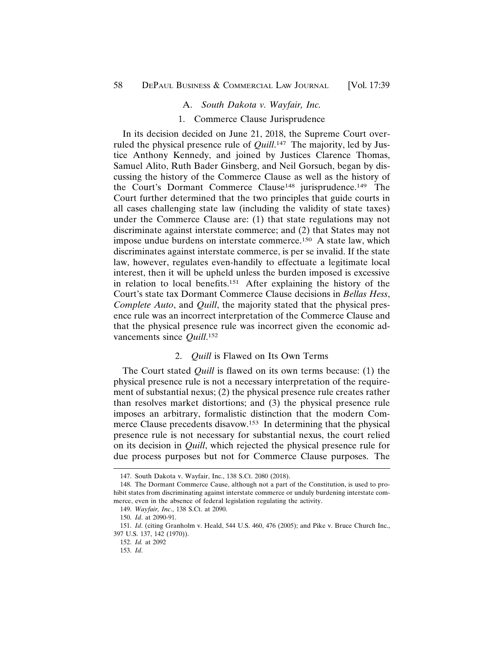### A. *South Dakota v. Wayfair, Inc.*

#### 1. Commerce Clause Jurisprudence

In its decision decided on June 21, 2018, the Supreme Court overruled the physical presence rule of *Quill*.<sup>147</sup> The majority, led by Justice Anthony Kennedy, and joined by Justices Clarence Thomas, Samuel Alito, Ruth Bader Ginsberg, and Neil Gorsuch, began by discussing the history of the Commerce Clause as well as the history of the Court's Dormant Commerce Clause148 jurisprudence.149 The Court further determined that the two principles that guide courts in all cases challenging state law (including the validity of state taxes) under the Commerce Clause are: (1) that state regulations may not discriminate against interstate commerce; and (2) that States may not impose undue burdens on interstate commerce.150 A state law, which discriminates against interstate commerce, is per se invalid. If the state law, however, regulates even-handily to effectuate a legitimate local interest, then it will be upheld unless the burden imposed is excessive in relation to local benefits.151 After explaining the history of the Court's state tax Dormant Commerce Clause decisions in *Bellas Hess*, *Complete Auto*, and *Quill*, the majority stated that the physical presence rule was an incorrect interpretation of the Commerce Clause and that the physical presence rule was incorrect given the economic advancements since *Quill*. 152

#### 2. *Quill* is Flawed on Its Own Terms

The Court stated *Quill* is flawed on its own terms because: (1) the physical presence rule is not a necessary interpretation of the requirement of substantial nexus; (2) the physical presence rule creates rather than resolves market distortions; and (3) the physical presence rule imposes an arbitrary, formalistic distinction that the modern Commerce Clause precedents disavow.153 In determining that the physical presence rule is not necessary for substantial nexus, the court relied on its decision in *Quill*, which rejected the physical presence rule for due process purposes but not for Commerce Clause purposes. The

<sup>147.</sup> South Dakota v. Wayfair, Inc., 138 S.Ct. 2080 (2018).

<sup>148.</sup> The Dormant Commerce Cause, although not a part of the Constitution, is used to prohibit states from discriminating against interstate commerce or unduly burdening interstate commerce, even in the absence of federal legislation regulating the activity.

<sup>149.</sup> *Wayfair, Inc*., 138 S.Ct. at 2090.

<sup>150.</sup> *Id*. at 2090-91.

<sup>151.</sup> *Id*. (citing Granholm v. Heald, 544 U.S. 460, 476 (2005); and Pike v. Bruce Church Inc., 397 U.S. 137, 142 (1970)).

<sup>152.</sup> *Id.* at 2092

<sup>153.</sup> *Id*.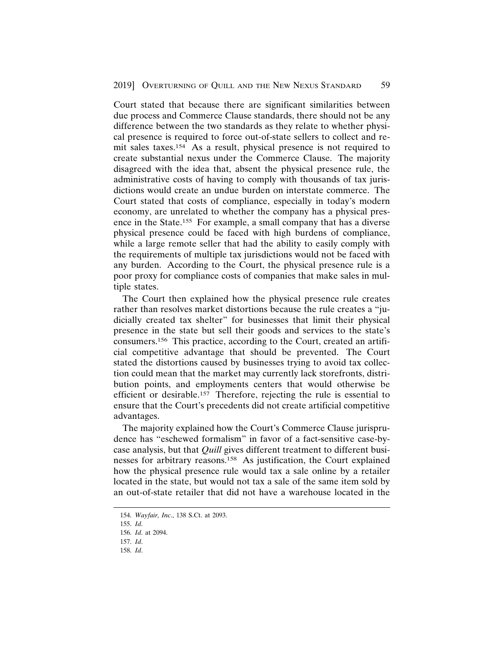Court stated that because there are significant similarities between due process and Commerce Clause standards, there should not be any difference between the two standards as they relate to whether physical presence is required to force out-of-state sellers to collect and remit sales taxes.154 As a result, physical presence is not required to create substantial nexus under the Commerce Clause. The majority disagreed with the idea that, absent the physical presence rule, the administrative costs of having to comply with thousands of tax jurisdictions would create an undue burden on interstate commerce. The Court stated that costs of compliance, especially in today's modern economy, are unrelated to whether the company has a physical presence in the State.155 For example, a small company that has a diverse physical presence could be faced with high burdens of compliance, while a large remote seller that had the ability to easily comply with the requirements of multiple tax jurisdictions would not be faced with any burden. According to the Court, the physical presence rule is a poor proxy for compliance costs of companies that make sales in multiple states.

The Court then explained how the physical presence rule creates rather than resolves market distortions because the rule creates a "judicially created tax shelter" for businesses that limit their physical presence in the state but sell their goods and services to the state's consumers.156 This practice, according to the Court, created an artificial competitive advantage that should be prevented. The Court stated the distortions caused by businesses trying to avoid tax collection could mean that the market may currently lack storefronts, distribution points, and employments centers that would otherwise be efficient or desirable.157 Therefore, rejecting the rule is essential to ensure that the Court's precedents did not create artificial competitive advantages.

The majority explained how the Court's Commerce Clause jurisprudence has "eschewed formalism" in favor of a fact-sensitive case-bycase analysis, but that *Quill* gives different treatment to different businesses for arbitrary reasons.158 As justification, the Court explained how the physical presence rule would tax a sale online by a retailer located in the state, but would not tax a sale of the same item sold by an out-of-state retailer that did not have a warehouse located in the

<sup>154.</sup> *Wayfair, Inc*., 138 S.Ct. at 2093.

<sup>155.</sup> *Id*.

<sup>156.</sup> *Id*. at 2094.

<sup>157.</sup> *Id*.

<sup>158.</sup> *Id*.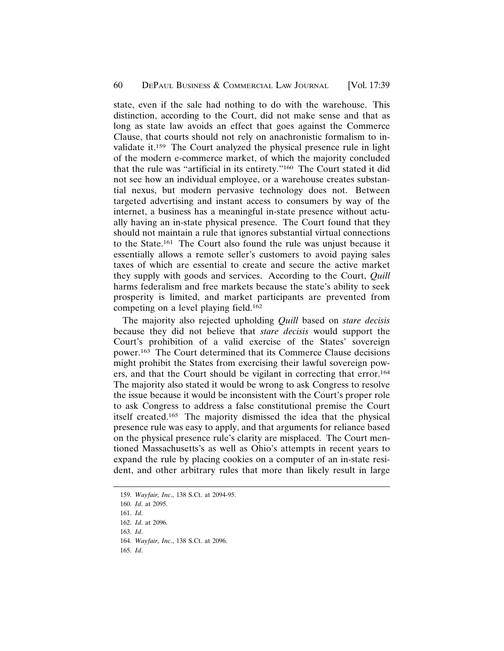state, even if the sale had nothing to do with the warehouse. This distinction, according to the Court, did not make sense and that as long as state law avoids an effect that goes against the Commerce Clause, that courts should not rely on anachronistic formalism to invalidate it.159 The Court analyzed the physical presence rule in light of the modern e-commerce market, of which the majority concluded that the rule was "artificial in its entirety."160 The Court stated it did not see how an individual employee, or a warehouse creates substantial nexus, but modern pervasive technology does not. Between targeted advertising and instant access to consumers by way of the internet, a business has a meaningful in-state presence without actually having an in-state physical presence. The Court found that they should not maintain a rule that ignores substantial virtual connections to the State.161 The Court also found the rule was unjust because it essentially allows a remote seller's customers to avoid paying sales taxes of which are essential to create and secure the active market they supply with goods and services. According to the Court, *Quill* harms federalism and free markets because the state's ability to seek prosperity is limited, and market participants are prevented from competing on a level playing field.162

The majority also rejected upholding *Quill* based on *stare decisis* because they did not believe that *stare decisis* would support the Court's prohibition of a valid exercise of the States' sovereign power.163 The Court determined that its Commerce Clause decisions might prohibit the States from exercising their lawful sovereign powers, and that the Court should be vigilant in correcting that error.164 The majority also stated it would be wrong to ask Congress to resolve the issue because it would be inconsistent with the Court's proper role to ask Congress to address a false constitutional premise the Court itself created.165 The majority dismissed the idea that the physical presence rule was easy to apply, and that arguments for reliance based on the physical presence rule's clarity are misplaced. The Court mentioned Massachusetts's as well as Ohio's attempts in recent years to expand the rule by placing cookies on a computer of an in-state resident, and other arbitrary rules that more than likely result in large

<sup>159.</sup> *Wayfair, Inc*., 138 S.Ct. at 2094-95.

<sup>160.</sup> *Id*. at 2095.

<sup>161.</sup> *Id*.

<sup>162.</sup> *Id*. at 2096.

<sup>163.</sup> *Id*.

<sup>164.</sup> *Wayfair, Inc*., 138 S.Ct. at 2096.

<sup>165.</sup> *Id*.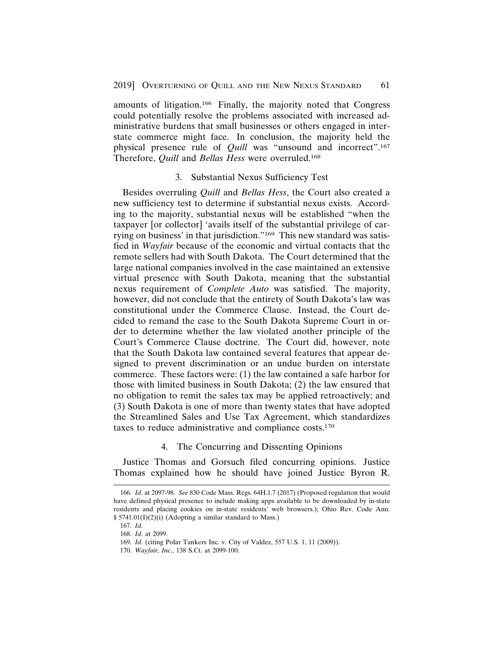amounts of litigation.166 Finally, the majority noted that Congress could potentially resolve the problems associated with increased administrative burdens that small businesses or others engaged in interstate commerce might face. In conclusion, the majority held the physical presence rule of *Quill* was "unsound and incorrect".167 Therefore, *Quill* and *Bellas Hess* were overruled.168

#### 3. Substantial Nexus Sufficiency Test

Besides overruling *Quill* and *Bellas Hess*, the Court also created a new sufficiency test to determine if substantial nexus exists. According to the majority, substantial nexus will be established "when the taxpayer [or collector] 'avails itself of the substantial privilege of carrying on business' in that jurisdiction."169 This new standard was satisfied in *Wayfair* because of the economic and virtual contacts that the remote sellers had with South Dakota. The Court determined that the large national companies involved in the case maintained an extensive virtual presence with South Dakota, meaning that the substantial nexus requirement of *Complete Auto* was satisfied. The majority, however, did not conclude that the entirety of South Dakota's law was constitutional under the Commerce Clause. Instead, the Court decided to remand the case to the South Dakota Supreme Court in order to determine whether the law violated another principle of the Court's Commerce Clause doctrine. The Court did, however, note that the South Dakota law contained several features that appear designed to prevent discrimination or an undue burden on interstate commerce. These factors were: (1) the law contained a safe harbor for those with limited business in South Dakota; (2) the law ensured that no obligation to remit the sales tax may be applied retroactively; and (3) South Dakota is one of more than twenty states that have adopted the Streamlined Sales and Use Tax Agreement, which standardizes taxes to reduce administrative and compliance costs.170

#### 4. The Concurring and Dissenting Opinions

Justice Thomas and Gorsuch filed concurring opinions. Justice Thomas explained how he should have joined Justice Byron R.

<sup>166.</sup> *Id*. at 2097-98. *See* 830 Code Mass. Regs. 64H.1.7 (2017) (Proposed regulation that would have defined physical presence to include making apps available to be downloaded by in-state residents and placing cookies on in-state residents' web browsers.); Ohio Rev. Code Ann. § 5741.01(I)(2)(i) (Adopting a similar standard to Mass.)

<sup>167.</sup> *Id*.

<sup>168.</sup> *Id*. at 2099.

<sup>169.</sup> *Id*. (citing Polar Tankers Inc. v. City of Valdez, 557 U.S. 1, 11 (2009)).

<sup>170.</sup> *Wayfair, Inc*., 138 S.Ct. at 2099-100.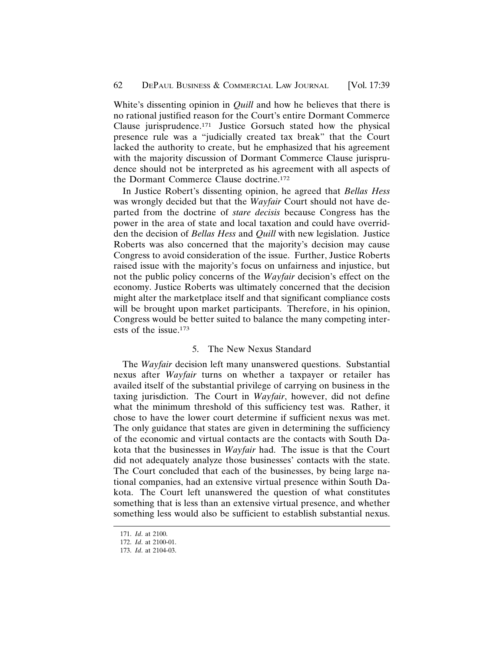White's dissenting opinion in *Quill* and how he believes that there is no rational justified reason for the Court's entire Dormant Commerce Clause jurisprudence.171 Justice Gorsuch stated how the physical presence rule was a "judicially created tax break" that the Court lacked the authority to create, but he emphasized that his agreement with the majority discussion of Dormant Commerce Clause jurisprudence should not be interpreted as his agreement with all aspects of the Dormant Commerce Clause doctrine.172

In Justice Robert's dissenting opinion, he agreed that *Bellas Hess* was wrongly decided but that the *Wayfair* Court should not have departed from the doctrine of *stare decisis* because Congress has the power in the area of state and local taxation and could have overridden the decision of *Bellas Hess* and *Quill* with new legislation. Justice Roberts was also concerned that the majority's decision may cause Congress to avoid consideration of the issue. Further, Justice Roberts raised issue with the majority's focus on unfairness and injustice, but not the public policy concerns of the *Wayfair* decision's effect on the economy. Justice Roberts was ultimately concerned that the decision might alter the marketplace itself and that significant compliance costs will be brought upon market participants. Therefore, in his opinion, Congress would be better suited to balance the many competing interests of the issue.173

#### 5. The New Nexus Standard

The *Wayfair* decision left many unanswered questions. Substantial nexus after *Wayfair* turns on whether a taxpayer or retailer has availed itself of the substantial privilege of carrying on business in the taxing jurisdiction. The Court in *Wayfair*, however, did not define what the minimum threshold of this sufficiency test was. Rather, it chose to have the lower court determine if sufficient nexus was met. The only guidance that states are given in determining the sufficiency of the economic and virtual contacts are the contacts with South Dakota that the businesses in *Wayfair* had. The issue is that the Court did not adequately analyze those businesses' contacts with the state. The Court concluded that each of the businesses, by being large national companies, had an extensive virtual presence within South Dakota. The Court left unanswered the question of what constitutes something that is less than an extensive virtual presence, and whether something less would also be sufficient to establish substantial nexus.

<sup>171.</sup> *Id*. at 2100.

<sup>172.</sup> *Id*. at 2100-01.

<sup>173.</sup> *Id*. at 2104-03.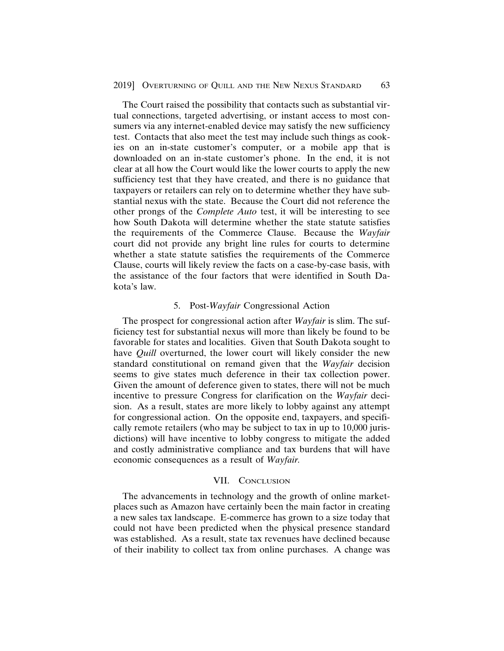#### 2019] OVERTURNING OF QUILL AND THE NEW NEXUS STANDARD 63

The Court raised the possibility that contacts such as substantial virtual connections, targeted advertising, or instant access to most consumers via any internet-enabled device may satisfy the new sufficiency test. Contacts that also meet the test may include such things as cookies on an in-state customer's computer, or a mobile app that is downloaded on an in-state customer's phone. In the end, it is not clear at all how the Court would like the lower courts to apply the new sufficiency test that they have created, and there is no guidance that taxpayers or retailers can rely on to determine whether they have substantial nexus with the state. Because the Court did not reference the other prongs of the *Complete Auto* test, it will be interesting to see how South Dakota will determine whether the state statute satisfies the requirements of the Commerce Clause. Because the *Wayfair* court did not provide any bright line rules for courts to determine whether a state statute satisfies the requirements of the Commerce Clause, courts will likely review the facts on a case-by-case basis, with the assistance of the four factors that were identified in South Dakota's law.

#### 5. Post-*Wayfair* Congressional Action

The prospect for congressional action after *Wayfair* is slim. The sufficiency test for substantial nexus will more than likely be found to be favorable for states and localities. Given that South Dakota sought to have *Quill* overturned, the lower court will likely consider the new standard constitutional on remand given that the *Wayfair* decision seems to give states much deference in their tax collection power. Given the amount of deference given to states, there will not be much incentive to pressure Congress for clarification on the *Wayfair* decision. As a result, states are more likely to lobby against any attempt for congressional action. On the opposite end, taxpayers, and specifically remote retailers (who may be subject to tax in up to 10,000 jurisdictions) will have incentive to lobby congress to mitigate the added and costly administrative compliance and tax burdens that will have economic consequences as a result of *Wayfair.*

#### VII. CONCLUSION

The advancements in technology and the growth of online marketplaces such as Amazon have certainly been the main factor in creating a new sales tax landscape. E-commerce has grown to a size today that could not have been predicted when the physical presence standard was established. As a result, state tax revenues have declined because of their inability to collect tax from online purchases. A change was